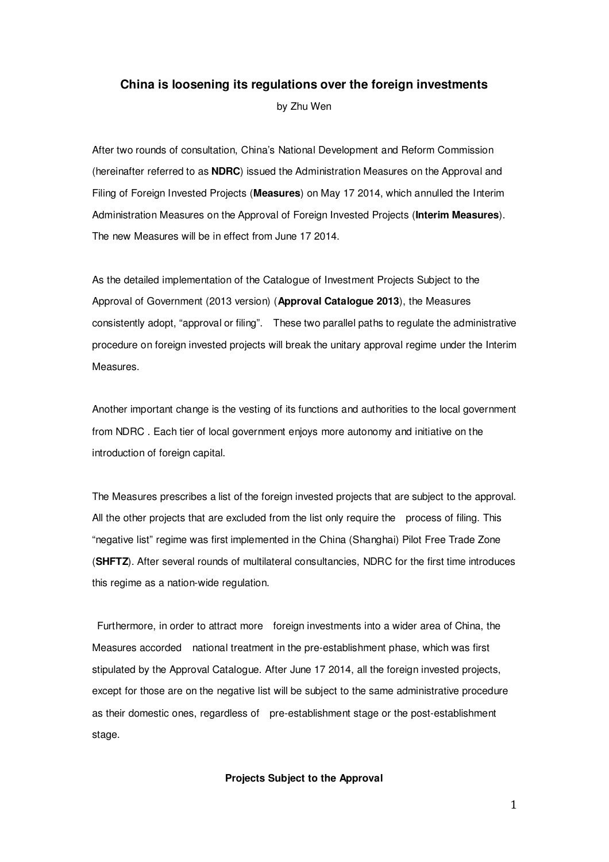## **China is loosening its regulations over the foreign investments**

by Zhu Wen

After two rounds of consultation, China's National Development and Reform Commission (hereinafter referred to as **NDRC**) issued the Administration Measures on the Approval and Filing of Foreign Invested Projects (**Measures**) on May 17 2014, which annulled the Interim Administration Measures on the Approval of Foreign Invested Projects (**Interim Measures**). The new Measures will be in effect from June 17 2014.

As the detailed implementation of the Catalogue of Investment Projects Subject to the Approval of Government (2013 version) (**Approval Catalogue 2013**), the Measures consistently adopt, "approval or filing". These two parallel paths to regulate the administrative procedure on foreign invested projects will break the unitary approval regime under the Interim **Measures** 

Another important change is the vesting of its functions and authorities to the local government from NDRC . Each tier of local government enjoys more autonomy and initiative on the introduction of foreign capital.

The Measures prescribes a list of the foreign invested projects that are subject to the approval. All the other projects that are excluded from the list only require the process of filing. This "negative list" regime was first implemented in the China (Shanghai) Pilot Free Trade Zone (**SHFTZ**). After several rounds of multilateral consultancies, NDRC for the first time introduces this regime as a nation-wide regulation.

 Furthermore, in order to attract more foreign investments into a wider area of China, the Measures accorded national treatment in the pre-establishment phase, which was first stipulated by the Approval Catalogue. After June 17 2014, all the foreign invested projects, except for those are on the negative list will be subject to the same administrative procedure as their domestic ones, regardless of pre-establishment stage or the post-establishment stage.

#### **Projects Subject to the Approval**

1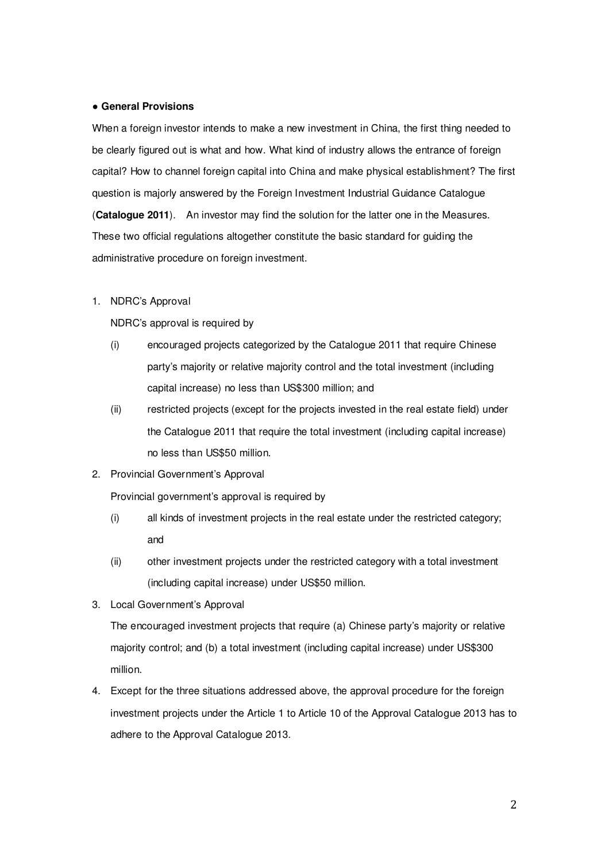#### ● **General Provisions**

When a foreign investor intends to make a new investment in China, the first thing needed to be clearly figured out is what and how. What kind of industry allows the entrance of foreign capital? How to channel foreign capital into China and make physical establishment? The first question is majorly answered by the Foreign Investment Industrial Guidance Catalogue (**Catalogue 2011**). An investor may find the solution for the latter one in the Measures. These two official regulations altogether constitute the basic standard for guiding the administrative procedure on foreign investment.

# 1. NDRC's Approval

NDRC's approval is required by

- (i) encouraged projects categorized by the Catalogue 2011 that require Chinese party's majority or relative majority control and the total investment (including capital increase) no less than US\$300 million; and
- (ii) restricted projects (except for the projects invested in the real estate field) under the Catalogue 2011 that require the total investment (including capital increase) no less than US\$50 million.
- 2. Provincial Government's Approval

Provincial government's approval is required by

- (i) all kinds of investment projects in the real estate under the restricted category; and
- (ii) other investment projects under the restricted category with a total investment (including capital increase) under US\$50 million.
- 3. Local Government's Approval

The encouraged investment projects that require (a) Chinese party's majority or relative majority control; and (b) a total investment (including capital increase) under US\$300 million.

4. Except for the three situations addressed above, the approval procedure for the foreign investment projects under the Article 1 to Article 10 of the Approval Catalogue 2013 has to adhere to the Approval Catalogue 2013.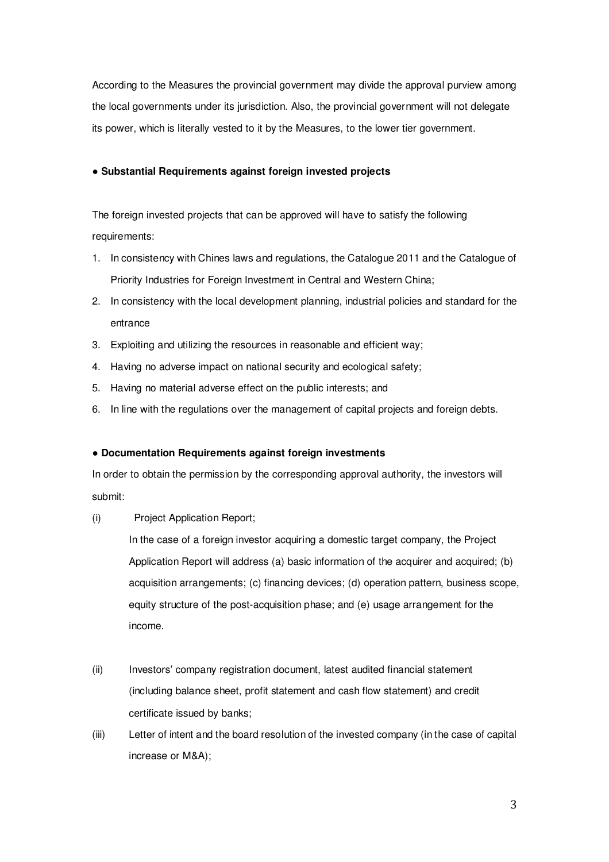According to the Measures the provincial government may divide the approval purview among the local governments under its jurisdiction. Also, the provincial government will not delegate its power, which is literally vested to it by the Measures, to the lower tier government.

## ● **Substantial Requirements against foreign invested projects**

The foreign invested projects that can be approved will have to satisfy the following requirements:

- 1. In consistency with Chines laws and regulations, the Catalogue 2011 and the Catalogue of Priority Industries for Foreign Investment in Central and Western China;
- 2. In consistency with the local development planning, industrial policies and standard for the entrance
- 3. Exploiting and utilizing the resources in reasonable and efficient way;
- 4. Having no adverse impact on national security and ecological safety;
- 5. Having no material adverse effect on the public interests; and
- 6. In line with the regulations over the management of capital projects and foreign debts.

# ● **Documentation Requirements against foreign investments**

In order to obtain the permission by the corresponding approval authority, the investors will submit:

(i) Project Application Report;

In the case of a foreign investor acquiring a domestic target company, the Project Application Report will address (a) basic information of the acquirer and acquired; (b) acquisition arrangements; (c) financing devices; (d) operation pattern, business scope, equity structure of the post-acquisition phase; and (e) usage arrangement for the income.

- (ii) Investors' company registration document, latest audited financial statement (including balance sheet, profit statement and cash flow statement) and credit certificate issued by banks;
- (iii) Letter of intent and the board resolution of the invested company (in the case of capital increase or M&A);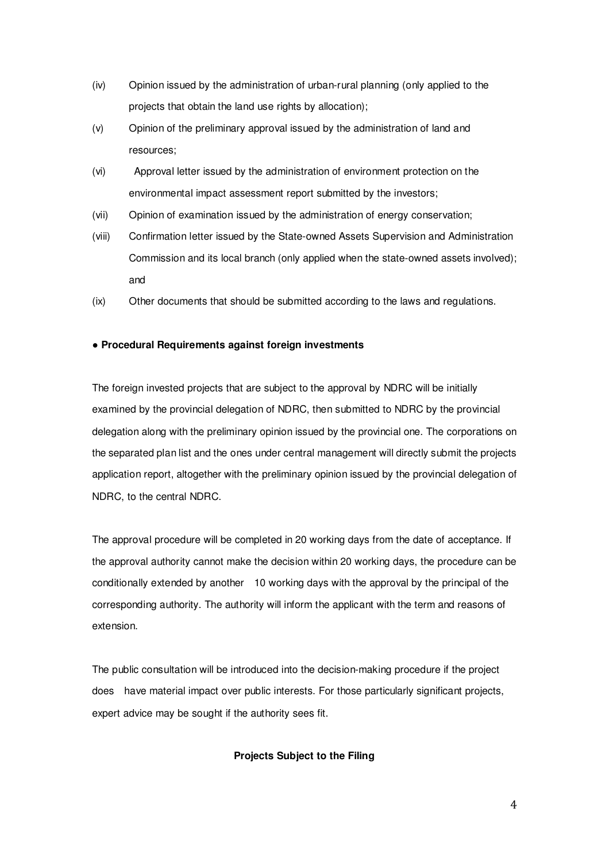- (iv) Opinion issued by the administration of urban-rural planning (only applied to the projects that obtain the land use rights by allocation);
- (v) Opinion of the preliminary approval issued by the administration of land and resources;
- (vi) Approval letter issued by the administration of environment protection on the environmental impact assessment report submitted by the investors;
- (vii) Opinion of examination issued by the administration of energy conservation;
- (viii) Confirmation letter issued by the State-owned Assets Supervision and Administration Commission and its local branch (only applied when the state-owned assets involved); and
- (ix) Other documents that should be submitted according to the laws and regulations.

### ● **Procedural Requirements against foreign investments**

The foreign invested projects that are subject to the approval by NDRC will be initially examined by the provincial delegation of NDRC, then submitted to NDRC by the provincial delegation along with the preliminary opinion issued by the provincial one. The corporations on the separated plan list and the ones under central management will directly submit the projects application report, altogether with the preliminary opinion issued by the provincial delegation of NDRC, to the central NDRC.

The approval procedure will be completed in 20 working days from the date of acceptance. If the approval authority cannot make the decision within 20 working days, the procedure can be conditionally extended by another 10 working days with the approval by the principal of the corresponding authority. The authority will inform the applicant with the term and reasons of extension.

The public consultation will be introduced into the decision-making procedure if the project does have material impact over public interests. For those particularly significant projects, expert advice may be sought if the authority sees fit.

# **Projects Subject to the Filing**